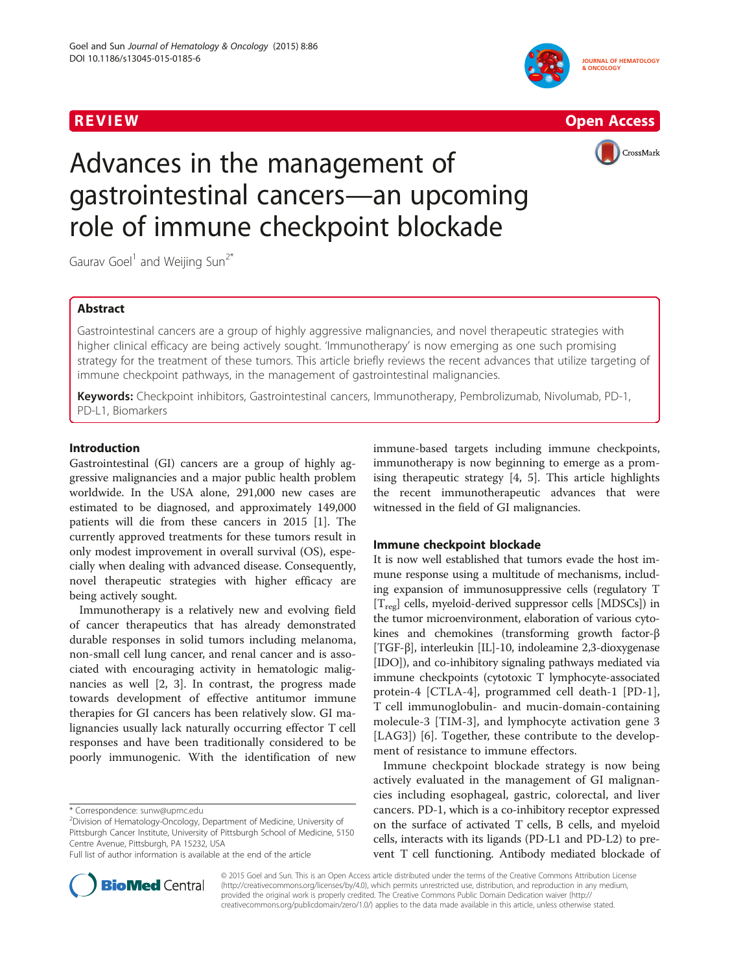





# Advances in the management of gastrointestinal cancers—an upcoming role of immune checkpoint blockade

Gaurav Goel<sup>1</sup> and Weijing Sun<sup>2\*</sup>

# Abstract

Gastrointestinal cancers are a group of highly aggressive malignancies, and novel therapeutic strategies with higher clinical efficacy are being actively sought. 'Immunotherapy' is now emerging as one such promising strategy for the treatment of these tumors. This article briefly reviews the recent advances that utilize targeting of immune checkpoint pathways, in the management of gastrointestinal malignancies.

Keywords: Checkpoint inhibitors, Gastrointestinal cancers, Immunotherapy, Pembrolizumab, Nivolumab, PD-1, PD-L1, Biomarkers

# Introduction

Gastrointestinal (GI) cancers are a group of highly aggressive malignancies and a major public health problem worldwide. In the USA alone, 291,000 new cases are estimated to be diagnosed, and approximately 149,000 patients will die from these cancers in 2015 [\[1\]](#page-2-0). The currently approved treatments for these tumors result in only modest improvement in overall survival (OS), especially when dealing with advanced disease. Consequently, novel therapeutic strategies with higher efficacy are being actively sought.

Immunotherapy is a relatively new and evolving field of cancer therapeutics that has already demonstrated durable responses in solid tumors including melanoma, non-small cell lung cancer, and renal cancer and is associated with encouraging activity in hematologic malignancies as well [[2, 3\]](#page-2-0). In contrast, the progress made towards development of effective antitumor immune therapies for GI cancers has been relatively slow. GI malignancies usually lack naturally occurring effector T cell responses and have been traditionally considered to be poorly immunogenic. With the identification of new immune-based targets including immune checkpoints, immunotherapy is now beginning to emerge as a promising therapeutic strategy [[4, 5\]](#page-2-0). This article highlights the recent immunotherapeutic advances that were witnessed in the field of GI malignancies.

# Immune checkpoint blockade

It is now well established that tumors evade the host immune response using a multitude of mechanisms, including expansion of immunosuppressive cells (regulatory T [T<sub>reg</sub>] cells, myeloid-derived suppressor cells [MDSCs]) in the tumor microenvironment, elaboration of various cytokines and chemokines (transforming growth factor-β [TGF-β], interleukin [IL]-10, indoleamine 2,3-dioxygenase [IDO]), and co-inhibitory signaling pathways mediated via immune checkpoints (cytotoxic T lymphocyte-associated protein-4 [CTLA-4], programmed cell death-1 [PD-1], T cell immunoglobulin- and mucin-domain-containing molecule-3 [TIM-3], and lymphocyte activation gene 3 [LAG3]) [\[6](#page-2-0)]. Together, these contribute to the development of resistance to immune effectors.

Immune checkpoint blockade strategy is now being actively evaluated in the management of GI malignancies including esophageal, gastric, colorectal, and liver cancers. PD-1, which is a co-inhibitory receptor expressed on the surface of activated T cells, B cells, and myeloid cells, interacts with its ligands (PD-L1 and PD-L2) to prevent T cell functioning. Antibody mediated blockade of



© 2015 Goel and Sun. This is an Open Access article distributed under the terms of the Creative Commons Attribution License [\(http://creativecommons.org/licenses/by/4.0\)](http://creativecommons.org/licenses/by/4.0), which permits unrestricted use, distribution, and reproduction in any medium, provided the original work is properly credited. The Creative Commons Public Domain Dedication waiver [\(http://](http://creativecommons.org/publicdomain/zero/1.0/) [creativecommons.org/publicdomain/zero/1.0/\)](http://creativecommons.org/publicdomain/zero/1.0/) applies to the data made available in this article, unless otherwise stated.

<sup>\*</sup> Correspondence: [sunw@upmc.edu](mailto:sunw@upmc.edu) <sup>2</sup>

 $2$ Division of Hematology-Oncology, Department of Medicine, University of Pittsburgh Cancer Institute, University of Pittsburgh School of Medicine, 5150 Centre Avenue, Pittsburgh, PA 15232, USA

Full list of author information is available at the end of the article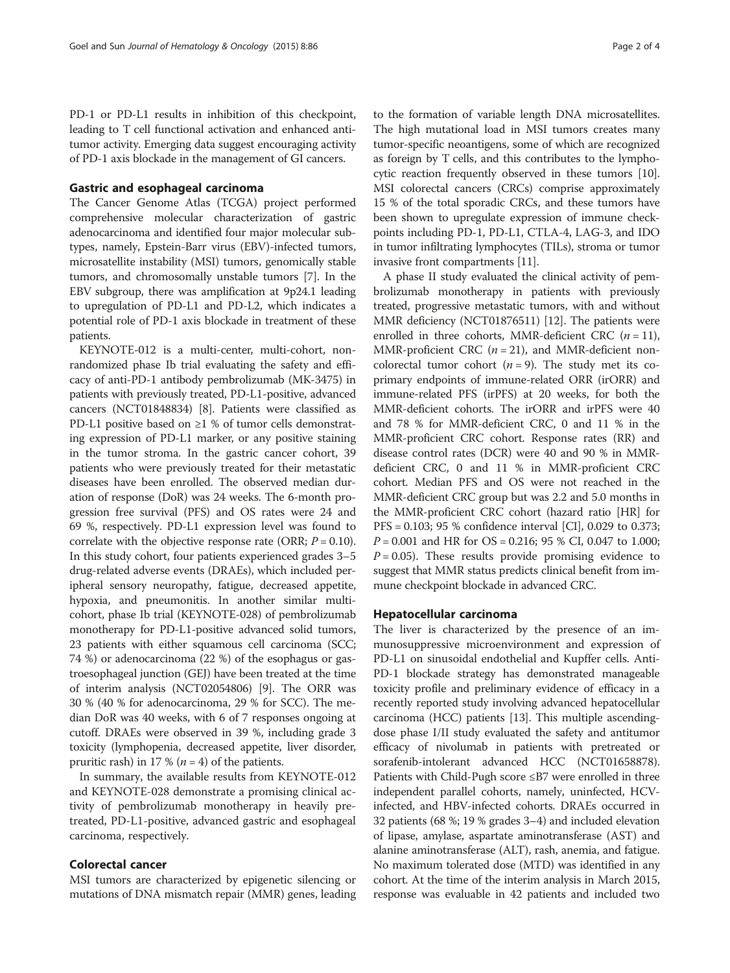PD-1 or PD-L1 results in inhibition of this checkpoint, leading to T cell functional activation and enhanced antitumor activity. Emerging data suggest encouraging activity of PD-1 axis blockade in the management of GI cancers.

#### Gastric and esophageal carcinoma

The Cancer Genome Atlas (TCGA) project performed comprehensive molecular characterization of gastric adenocarcinoma and identified four major molecular subtypes, namely, Epstein-Barr virus (EBV)-infected tumors, microsatellite instability (MSI) tumors, genomically stable tumors, and chromosomally unstable tumors [[7\]](#page-2-0). In the EBV subgroup, there was amplification at 9p24.1 leading to upregulation of PD-L1 and PD-L2, which indicates a potential role of PD-1 axis blockade in treatment of these patients.

KEYNOTE-012 is a multi-center, multi-cohort, nonrandomized phase Ib trial evaluating the safety and efficacy of anti-PD-1 antibody pembrolizumab (MK-3475) in patients with previously treated, PD-L1-positive, advanced cancers (NCT01848834) [\[8](#page-2-0)]. Patients were classified as PD-L1 positive based on ≥1 % of tumor cells demonstrating expression of PD-L1 marker, or any positive staining in the tumor stroma. In the gastric cancer cohort, 39 patients who were previously treated for their metastatic diseases have been enrolled. The observed median duration of response (DoR) was 24 weeks. The 6-month progression free survival (PFS) and OS rates were 24 and 69 %, respectively. PD-L1 expression level was found to correlate with the objective response rate (ORR;  $P = 0.10$ ). In this study cohort, four patients experienced grades 3–5 drug-related adverse events (DRAEs), which included peripheral sensory neuropathy, fatigue, decreased appetite, hypoxia, and pneumonitis. In another similar multicohort, phase Ib trial (KEYNOTE-028) of pembrolizumab monotherapy for PD-L1-positive advanced solid tumors, 23 patients with either squamous cell carcinoma (SCC; 74 %) or adenocarcinoma (22 %) of the esophagus or gastroesophageal junction (GEJ) have been treated at the time of interim analysis (NCT02054806) [\[9](#page-2-0)]. The ORR was 30 % (40 % for adenocarcinoma, 29 % for SCC). The median DoR was 40 weeks, with 6 of 7 responses ongoing at cutoff. DRAEs were observed in 39 %, including grade 3 toxicity (lymphopenia, decreased appetite, liver disorder, pruritic rash) in 17 % ( $n = 4$ ) of the patients.

In summary, the available results from KEYNOTE-012 and KEYNOTE-028 demonstrate a promising clinical activity of pembrolizumab monotherapy in heavily pretreated, PD-L1-positive, advanced gastric and esophageal carcinoma, respectively.

# Colorectal cancer

MSI tumors are characterized by epigenetic silencing or mutations of DNA mismatch repair (MMR) genes, leading

to the formation of variable length DNA microsatellites. The high mutational load in MSI tumors creates many tumor-specific neoantigens, some of which are recognized as foreign by T cells, and this contributes to the lymphocytic reaction frequently observed in these tumors [[10](#page-3-0)]. MSI colorectal cancers (CRCs) comprise approximately 15 % of the total sporadic CRCs, and these tumors have been shown to upregulate expression of immune checkpoints including PD-1, PD-L1, CTLA-4, LAG-3, and IDO in tumor infiltrating lymphocytes (TILs), stroma or tumor invasive front compartments [\[11\]](#page-3-0).

A phase II study evaluated the clinical activity of pembrolizumab monotherapy in patients with previously treated, progressive metastatic tumors, with and without MMR deficiency (NCT01876511) [\[12\]](#page-3-0). The patients were enrolled in three cohorts, MMR-deficient CRC  $(n = 11)$ , MMR-proficient CRC ( $n = 21$ ), and MMR-deficient noncolorectal tumor cohort  $(n = 9)$ . The study met its coprimary endpoints of immune-related ORR (irORR) and immune-related PFS (irPFS) at 20 weeks, for both the MMR-deficient cohorts. The irORR and irPFS were 40 and 78 % for MMR-deficient CRC, 0 and 11 % in the MMR-proficient CRC cohort. Response rates (RR) and disease control rates (DCR) were 40 and 90 % in MMRdeficient CRC, 0 and 11 % in MMR-proficient CRC cohort. Median PFS and OS were not reached in the MMR-deficient CRC group but was 2.2 and 5.0 months in the MMR-proficient CRC cohort (hazard ratio [HR] for PFS = 0.103; 95 % confidence interval [CI], 0.029 to 0.373;  $P = 0.001$  and HR for OS = 0.216; 95 % CI, 0.047 to 1.000;  $P = 0.05$ ). These results provide promising evidence to suggest that MMR status predicts clinical benefit from immune checkpoint blockade in advanced CRC.

# Hepatocellular carcinoma

The liver is characterized by the presence of an immunosuppressive microenvironment and expression of PD-L1 on sinusoidal endothelial and Kupffer cells. Anti-PD-1 blockade strategy has demonstrated manageable toxicity profile and preliminary evidence of efficacy in a recently reported study involving advanced hepatocellular carcinoma (HCC) patients [[13](#page-3-0)]. This multiple ascendingdose phase I/II study evaluated the safety and antitumor efficacy of nivolumab in patients with pretreated or sorafenib-intolerant advanced HCC (NCT01658878). Patients with Child-Pugh score ≤B7 were enrolled in three independent parallel cohorts, namely, uninfected, HCVinfected, and HBV-infected cohorts. DRAEs occurred in 32 patients (68 %; 19 % grades 3–4) and included elevation of lipase, amylase, aspartate aminotransferase (AST) and alanine aminotransferase (ALT), rash, anemia, and fatigue. No maximum tolerated dose (MTD) was identified in any cohort. At the time of the interim analysis in March 2015, response was evaluable in 42 patients and included two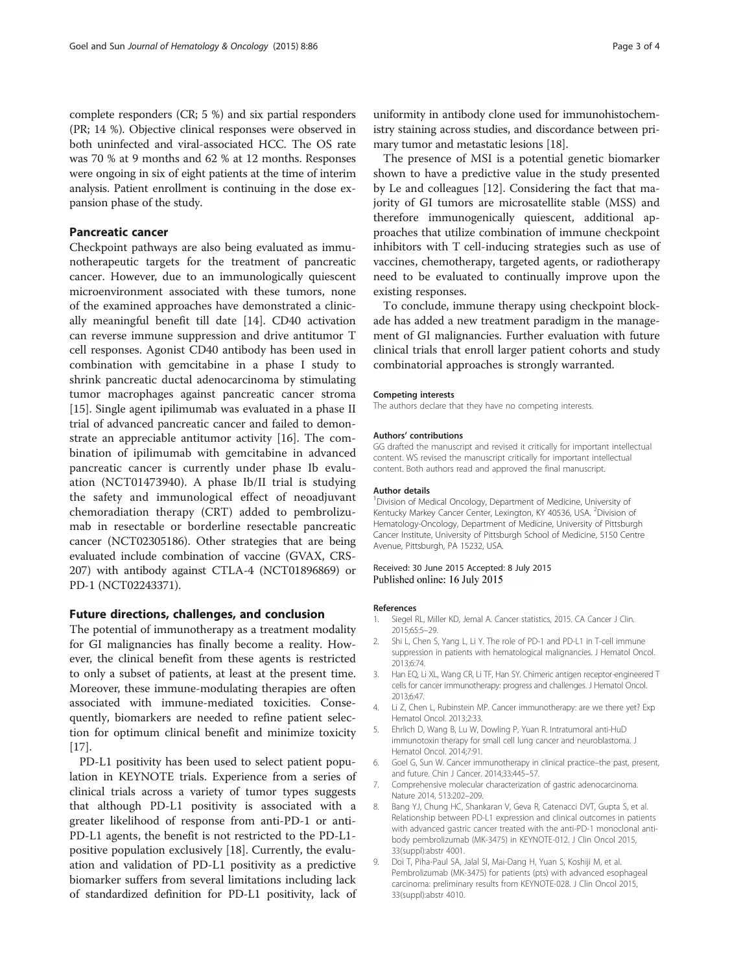<span id="page-2-0"></span>complete responders (CR; 5 %) and six partial responders (PR; 14 %). Objective clinical responses were observed in both uninfected and viral-associated HCC. The OS rate was 70 % at 9 months and 62 % at 12 months. Responses were ongoing in six of eight patients at the time of interim analysis. Patient enrollment is continuing in the dose expansion phase of the study.

# Pancreatic cancer

Checkpoint pathways are also being evaluated as immunotherapeutic targets for the treatment of pancreatic cancer. However, due to an immunologically quiescent microenvironment associated with these tumors, none of the examined approaches have demonstrated a clinically meaningful benefit till date [[14\]](#page-3-0). CD40 activation can reverse immune suppression and drive antitumor T cell responses. Agonist CD40 antibody has been used in combination with gemcitabine in a phase I study to shrink pancreatic ductal adenocarcinoma by stimulating tumor macrophages against pancreatic cancer stroma [[15\]](#page-3-0). Single agent ipilimumab was evaluated in a phase II trial of advanced pancreatic cancer and failed to demonstrate an appreciable antitumor activity [\[16\]](#page-3-0). The combination of ipilimumab with gemcitabine in advanced pancreatic cancer is currently under phase Ib evaluation (NCT01473940). A phase Ib/II trial is studying the safety and immunological effect of neoadjuvant chemoradiation therapy (CRT) added to pembrolizumab in resectable or borderline resectable pancreatic cancer (NCT02305186). Other strategies that are being evaluated include combination of vaccine (GVAX, CRS-207) with antibody against CTLA-4 (NCT01896869) or PD-1 (NCT02243371).

# Future directions, challenges, and conclusion

The potential of immunotherapy as a treatment modality for GI malignancies has finally become a reality. However, the clinical benefit from these agents is restricted to only a subset of patients, at least at the present time. Moreover, these immune-modulating therapies are often associated with immune-mediated toxicities. Consequently, biomarkers are needed to refine patient selection for optimum clinical benefit and minimize toxicity  $|17|$ .

PD-L1 positivity has been used to select patient population in KEYNOTE trials. Experience from a series of clinical trials across a variety of tumor types suggests that although PD-L1 positivity is associated with a greater likelihood of response from anti-PD-1 or anti-PD-L1 agents, the benefit is not restricted to the PD-L1 positive population exclusively [[18](#page-3-0)]. Currently, the evaluation and validation of PD-L1 positivity as a predictive biomarker suffers from several limitations including lack of standardized definition for PD-L1 positivity, lack of

uniformity in antibody clone used for immunohistochemistry staining across studies, and discordance between primary tumor and metastatic lesions [[18\]](#page-3-0).

The presence of MSI is a potential genetic biomarker shown to have a predictive value in the study presented by Le and colleagues [\[12](#page-3-0)]. Considering the fact that majority of GI tumors are microsatellite stable (MSS) and therefore immunogenically quiescent, additional approaches that utilize combination of immune checkpoint inhibitors with T cell-inducing strategies such as use of vaccines, chemotherapy, targeted agents, or radiotherapy need to be evaluated to continually improve upon the existing responses.

To conclude, immune therapy using checkpoint blockade has added a new treatment paradigm in the management of GI malignancies. Further evaluation with future clinical trials that enroll larger patient cohorts and study combinatorial approaches is strongly warranted.

#### Competing interests

The authors declare that they have no competing interests.

#### Authors' contributions

GG drafted the manuscript and revised it critically for important intellectual content. WS revised the manuscript critically for important intellectual content. Both authors read and approved the final manuscript.

#### Author details

<sup>1</sup> Division of Medical Oncology, Department of Medicine, University of Kentucky Markey Cancer Center, Lexington, KY 40536, USA. <sup>2</sup>Division of Hematology-Oncology, Department of Medicine, University of Pittsburgh Cancer Institute, University of Pittsburgh School of Medicine, 5150 Centre Avenue, Pittsburgh, PA 15232, USA.

#### Received: 30 June 2015 Accepted: 8 July 2015 Published online: 16 July 2015

#### References

- Siegel RL, Miller KD, Jemal A. Cancer statistics, 2015. CA Cancer J Clin. 2015;65:5–29.
- 2. Shi L, Chen S, Yang L, Li Y. The role of PD-1 and PD-L1 in T-cell immune suppression in patients with hematological malignancies. J Hematol Oncol. 2013;6:74.
- 3. Han EQ, Li XL, Wang CR, Li TF, Han SY. Chimeric antigen receptor-engineered T cells for cancer immunotherapy: progress and challenges. J Hematol Oncol. 2013;6:47.
- 4. Li Z, Chen L, Rubinstein MP. Cancer immunotherapy: are we there yet? Exp Hematol Oncol. 2013;2:33.
- 5. Ehrlich D, Wang B, Lu W, Dowling P, Yuan R. Intratumoral anti-HuD immunotoxin therapy for small cell lung cancer and neuroblastoma. J Hematol Oncol. 2014;7:91.
- 6. Goel G, Sun W. Cancer immunotherapy in clinical practice–the past, present, and future. Chin J Cancer. 2014;33:445–57.
- 7. Comprehensive molecular characterization of gastric adenocarcinoma. Nature 2014, 513:202–209.
- 8. Bang YJ, Chung HC, Shankaran V, Geva R, Catenacci DVT, Gupta S, et al. Relationship between PD-L1 expression and clinical outcomes in patients with advanced gastric cancer treated with the anti-PD-1 monoclonal antibody pembrolizumab (MK-3475) in KEYNOTE-012. J Clin Oncol 2015, 33(suppl):abstr 4001.
- 9. Doi T, Piha-Paul SA, Jalal SI, Mai-Dang H, Yuan S, Koshiji M, et al. Pembrolizumab (MK-3475) for patients (pts) with advanced esophageal carcinoma: preliminary results from KEYNOTE-028. J Clin Oncol 2015, 33(suppl):abstr 4010.